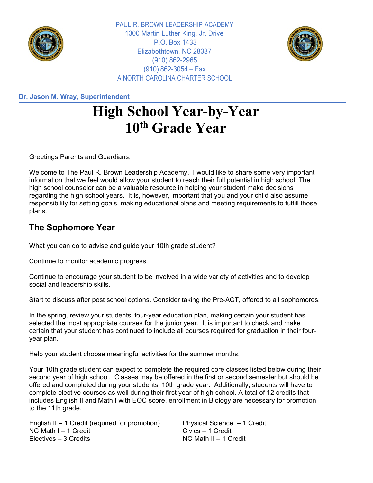

PAUL R. BROWN LEADERSHIP ACADEMY 1300 Martin Luther King, Jr. Drive P.O. Box 1433 Elizabethtown, NC 28337 (910) 862-2965  $(910)$  862-3054 – Fax A NORTH CAROLINA CHARTER SCHOOL



**Dr. Jason M. Wray, Superintendent**

## **High School Year-by-Year 10th Grade Year**

Greetings Parents and Guardians,

Welcome to The Paul R. Brown Leadership Academy. I would like to share some very important information that we feel would allow your student to reach their full potential in high school. The high school counselor can be a valuable resource in helping your student make decisions regarding the high school years. It is, however, important that you and your child also assume responsibility for setting goals, making educational plans and meeting requirements to fulfill those plans.

## **The Sophomore Year**

What you can do to advise and guide your 10th grade student?

Continue to monitor academic progress.

Continue to encourage your student to be involved in a wide variety of activities and to develop social and leadership skills.

Start to discuss after post school options. Consider taking the Pre-ACT, offered to all sophomores.

In the spring, review your students' four-year education plan, making certain your student has selected the most appropriate courses for the junior year. It is important to check and make certain that your student has continued to include all courses required for graduation in their fouryear plan.

Help your student choose meaningful activities for the summer months.

Your 10th grade student can expect to complete the required core classes listed below during their second year of high school. Classes may be offered in the first or second semester but should be offered and completed during your students' 10th grade year. Additionally, students will have to complete elective courses as well during their first year of high school. A total of 12 credits that includes English II and Math I with EOC score, enrollment in Biology are necessary for promotion to the 11th grade.

English II – 1 Credit (required for promotion) Physical Science – 1 Credit NC Math I – 1 Credit Civics – 1 Credit

NC Math II – 1 Credit